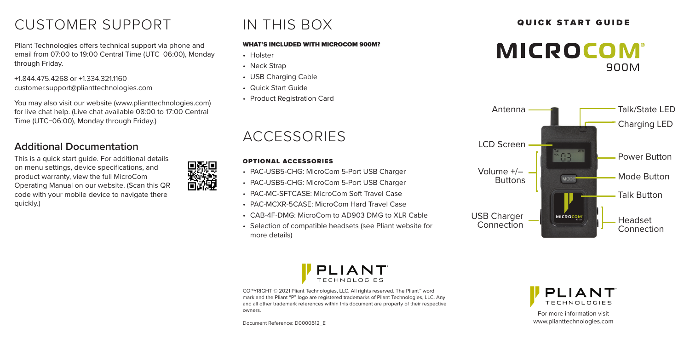# CUSTOMER SUPPORT A THIS BOX **QUICK START GUIDE**

Pliant Technologies offers technical support via phone and email from 07:00 to 19:00 Central Time (UTC−06:00), Monday through Friday.

+1.844.475.4268 or +1.334.321.1160 customer.support@plianttechnologies.com

You may also visit our website (www.plianttechnologies.com) for live chat help. (Live chat available 08:00 to 17:00 Central Time (UTC−06:00), Monday through Friday.)

## **Additional Documentation**

This is a quick start guide. For additional details on menu settings, device specifications, and product warranty, view the full MicroCom Operating Manual on our website. (Scan this QR code with your mobile device to navigate there quickly.)

# IN THIS BOX

#### WHAT'S INCLUDED WITH MICROCOM 900M?

• Holster

回張回

- Neck Strap
- USB Charging Cable
- Quick Start Guide
- Product Registration Card

## ACCESSORIES

#### OPTIONAL ACCESSORIES

- PAC-USB5-CHG: MicroCom 5-Port USB Charger
- PAC-USB5-CHG: MicroCom 5-Port USB Charger
- PAC-MC-SFTCASE: MicroCom Soft Travel Case
- PAC-MCXR-5CASE: MicroCom Hard Travel Case
- CAB-4F-DMG: MicroCom to AD903 DMG to XLR Cable
- Selection of compatible headsets (see Pliant website for more details)







COPYRIGHT © 2021 Pliant Technologies, LLC. All rights reserved. The Pliant™ word mark and the Pliant "P" logo are registered trademarks of Pliant Technologies, LLC. Any and all other trademark references within this document are property of their respective owners.

Document Reference: D0000512\_E

PI I **TECHNOLOGIES** 

For more information visit www.plianttechnologies.com